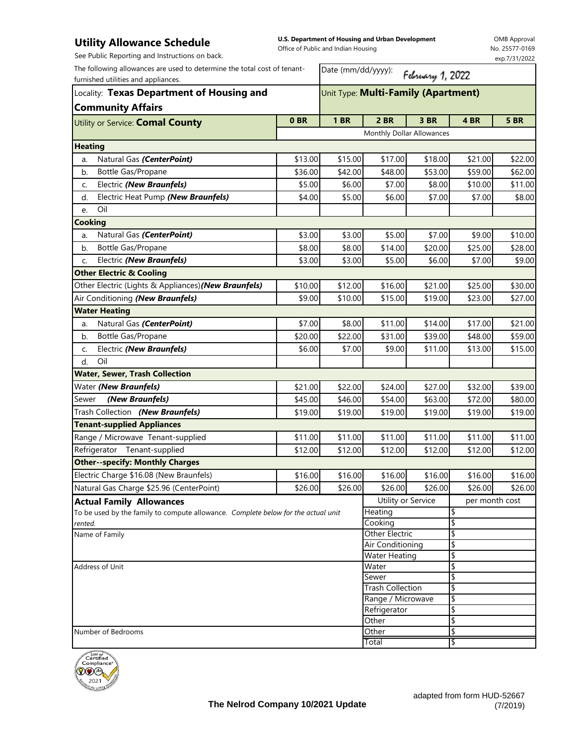## **Utility Allowance Schedule**

**U.S. Department of Housing and Urban Development**  Office of Public and Indian Housing

Date (mm/dd/yyyy):

OMB Approval No. 25577-0169 exp.7/31/2022

|  |  | See Public Reporting and Instructions on back. |  |
|--|--|------------------------------------------------|--|
|  |  |                                                |  |

The following allowances are used to determine the total cost of tenantfurnished utilities and appliances.

| The following allowances are used to determine the total cost of tenant-<br>furnished utilities and appliances.<br>Locality: Texas Department of Housing and |         |         | Date (mm/dd/yyyy):<br>February 1, 2022<br>Unit Type: Multi-Family (Apartment) |         |                |         |  |  |
|--------------------------------------------------------------------------------------------------------------------------------------------------------------|---------|---------|-------------------------------------------------------------------------------|---------|----------------|---------|--|--|
|                                                                                                                                                              |         |         |                                                                               |         |                |         |  |  |
|                                                                                                                                                              |         |         | Monthly Dollar Allowances                                                     |         |                |         |  |  |
| <b>Heating</b>                                                                                                                                               |         |         |                                                                               |         |                |         |  |  |
| Natural Gas (CenterPoint)<br>a.                                                                                                                              | \$13.00 | \$15.00 | \$17.00                                                                       | \$18.00 | \$21.00        | \$22.00 |  |  |
| Bottle Gas/Propane<br>b.                                                                                                                                     | \$36.00 | \$42.00 | \$48.00                                                                       | \$53.00 | \$59.00        | \$62.00 |  |  |
| Electric (New Braunfels)<br>C.                                                                                                                               | \$5.00  | \$6.00  | \$7.00                                                                        | \$8.00  | \$10.00        | \$11.00 |  |  |
| Electric Heat Pump (New Braunfels)<br>d.                                                                                                                     | \$4.00  | \$5.00  | \$6.00                                                                        | \$7.00  | \$7.00         | \$8.00  |  |  |
| Oil<br>e.                                                                                                                                                    |         |         |                                                                               |         |                |         |  |  |
| Cooking                                                                                                                                                      |         |         |                                                                               |         |                |         |  |  |
| Natural Gas (CenterPoint)<br>a.                                                                                                                              | \$3.00  | \$3.00  | \$5.00                                                                        | \$7.00  | \$9.00         | \$10.00 |  |  |
| Bottle Gas/Propane<br>b.                                                                                                                                     | \$8.00  | \$8.00  | \$14.00                                                                       | \$20.00 | \$25.00        | \$28.00 |  |  |
| Electric (New Braunfels)<br>C.                                                                                                                               | \$3.00  | \$3.00  | \$5.00                                                                        | \$6.00  | \$7.00         | \$9.00  |  |  |
| <b>Other Electric &amp; Cooling</b>                                                                                                                          |         |         |                                                                               |         |                |         |  |  |
| Other Electric (Lights & Appliances) (New Braunfels)                                                                                                         | \$10.00 | \$12.00 | \$16.00                                                                       | \$21.00 | \$25.00        | \$30.00 |  |  |
| Air Conditioning (New Braunfels)                                                                                                                             | \$9.00  | \$10.00 | \$15.00                                                                       | \$19.00 | \$23.00        | \$27.00 |  |  |
| <b>Water Heating</b>                                                                                                                                         |         |         |                                                                               |         |                |         |  |  |
| Natural Gas (CenterPoint)<br>a.                                                                                                                              | \$7.00  | \$8.00  | \$11.00                                                                       | \$14.00 | \$17.00        | \$21.00 |  |  |
| Bottle Gas/Propane<br>b.                                                                                                                                     | \$20.00 | \$22.00 | \$31.00                                                                       | \$39.00 | \$48.00        | \$59.00 |  |  |
| Electric (New Braunfels)<br>c.                                                                                                                               | \$6.00  | \$7.00  | \$9.00                                                                        | \$11.00 | \$13.00        | \$15.00 |  |  |
| Oil<br>d.                                                                                                                                                    |         |         |                                                                               |         |                |         |  |  |
| <b>Water, Sewer, Trash Collection</b>                                                                                                                        |         |         |                                                                               |         |                |         |  |  |
| Water (New Braunfels)                                                                                                                                        | \$21.00 | \$22.00 | \$24.00                                                                       | \$27.00 | \$32.00        | \$39.00 |  |  |
| (New Braunfels)<br>Sewer                                                                                                                                     | \$45.00 | \$46.00 | \$54.00                                                                       | \$63.00 | \$72.00        | \$80.00 |  |  |
| Trash Collection (New Braunfels)                                                                                                                             | \$19.00 | \$19.00 | \$19.00                                                                       | \$19.00 | \$19.00        | \$19.00 |  |  |
| <b>Tenant-supplied Appliances</b>                                                                                                                            |         |         |                                                                               |         |                |         |  |  |
| Range / Microwave Tenant-supplied                                                                                                                            | \$11.00 | \$11.00 | \$11.00                                                                       | \$11.00 | \$11.00        | \$11.00 |  |  |
| Refrigerator Tenant-supplied                                                                                                                                 | \$12.00 | \$12.00 | \$12.00                                                                       | \$12.00 | \$12.00        | \$12.00 |  |  |
| <b>Other--specify: Monthly Charges</b>                                                                                                                       |         |         |                                                                               |         |                |         |  |  |
| Electric Charge \$16.08 (New Braunfels)                                                                                                                      | \$16.00 | \$16.00 | \$16.00                                                                       | \$16.00 | \$16.00        | \$16.00 |  |  |
| Natural Gas Charge \$25.96 (CenterPoint)                                                                                                                     | \$26.00 | \$26.00 | \$26.00                                                                       | \$26.00 | \$26.00        | \$26.00 |  |  |
| <b>Actual Family Allowances</b>                                                                                                                              |         |         | Utility or Service                                                            |         | per month cost |         |  |  |
| To be used by the family to compute allowance. Complete below for the actual unit                                                                            |         |         | Heating                                                                       |         | \$             |         |  |  |
| rented.                                                                                                                                                      |         |         | Cooking                                                                       |         | \$             |         |  |  |
| Name of Family                                                                                                                                               |         |         | Other Electric<br>Air Conditioning                                            |         | \$<br>\$       |         |  |  |
|                                                                                                                                                              |         |         | <b>Water Heating</b>                                                          |         | \$             |         |  |  |
| Address of Unit                                                                                                                                              |         |         | Water                                                                         |         | \$             |         |  |  |
|                                                                                                                                                              |         |         | Sewer                                                                         |         | \$             |         |  |  |
|                                                                                                                                                              |         |         | <b>Trash Collection</b>                                                       |         | \$             |         |  |  |
|                                                                                                                                                              |         |         | Range / Microwave                                                             |         | \$             |         |  |  |
|                                                                                                                                                              |         |         | Refrigerator                                                                  |         | \$             |         |  |  |
| Number of Bedrooms                                                                                                                                           |         |         | Other<br>Other                                                                |         | \$<br>\$       |         |  |  |
|                                                                                                                                                              |         |         | Total                                                                         |         | \$             |         |  |  |
|                                                                                                                                                              |         |         |                                                                               |         |                |         |  |  |